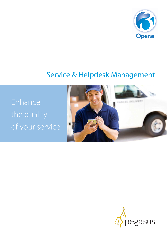

# Service & Helpdesk Management

Enhance the quality of your service



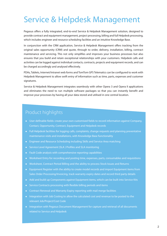# Service & Helpdesk Management

Pegasus offers a fully integrated, end-to-end Service & Helpdesk Management solution, designed to provide contract and equipment management, project processing, billing and full Helpdesk processing, which includes engineer and resource scheduling facilities and an intuitive Knowledge Base.

In conjunction with the CRM application, Service & Helpdesk Management offers tracking from the original sales opportunity (CRM) and quote, through to order, delivery, installation, billing, contract maintenance and servicing. This not only simplifies and improves your business processes but also ensures that you build and retain exceptional relationships with your customers. Helpdesk calls and activities can be logged against individual contacts, contracts, projects and equipment records, and can be charged accordingly and analysed effectively.

PDAs, Tablets, Internet/Intranet web forms and TomTom GPS Telematics can be configured to work with Helpdesk Management to allow swift entry of information such as time, parts, expenses and customer signatures.

Service & Helpdesk Management integrates seamlessly with other Opera 3 and Opera II applications and eliminates the need to run multiple software packages so that you can instantly benefit and improve your processes by having all your data stored and utilised in one central location.

### Product highlights

- User-definable fields: create your own customised fields to record information against Company, Contact, Opportunity, Contract, Equipment and Helpdesk records
- Full Helpdesk facilities for logging calls, complaints, change requests and planning preventative maintenance visits and installations, with Knowledge Base functionality
- Engineer and Resource Scheduling including Skills and Service Area matching
- Service Level Agreement (SLA ) Profiles and SLA monitoring
- Fault Code analysis with comprehensive reporting capabilities
- Worksheet Entry for recording and posting time, expenses, parts, consumables and requisitions
- Worksheet, Contract Period Billing and the ability to process Stock Issues and Returns
- Equipment Register with the ability to create model records and import Equipment items from Sales Order Processing/Invoicing, track warranty expiry dates and record third party details
- Add and build up Components against Equipment items, which can be built into Service Kits
- Service Contracts processing with flexible billing periods and items
- Contract Renewal and Warranty Expiry reporting with mail merge facilities
- Integration with Job Costing to allow the calculated cost and revenue to be posted to the relevant Job/Project/Cost Code
- Integration with Pegasus Document Management for capture and retrieval of all documents related to Service and Helpdesk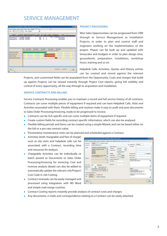## SERVICE MANAGEMENT

|                                                          |                          |                          |                     | Project Processing: OPP00001: ADA0001: Adams Light Engineering Ltd                                                                                                                                                                                                                                                                                                                                                                                              |                             |                               |              |                |                                               | $\Box$ ok |
|----------------------------------------------------------|--------------------------|--------------------------|---------------------|-----------------------------------------------------------------------------------------------------------------------------------------------------------------------------------------------------------------------------------------------------------------------------------------------------------------------------------------------------------------------------------------------------------------------------------------------------------------|-----------------------------|-------------------------------|--------------|----------------|-----------------------------------------------|-----------|
| General Changes Activities History Quotes Other Helpdesk |                          |                          |                     | Phases<br>List                                                                                                                                                                                                                                                                                                                                                                                                                                                  |                             |                               | $\mathbb{Q}$ |                |                                               |           |
| All<br>Owner:                                            | $\cdots$                 | Dates:                   | <b>All Dates</b>    | $\ddot{\phantom{0}}$                                                                                                                                                                                                                                                                                                                                                                                                                                            |                             |                               |              |                |                                               |           |
|                                                          |                          |                          |                     |                                                                                                                                                                                                                                                                                                                                                                                                                                                                 |                             |                               |              |                |                                               |           |
| Description                                              | Start Date               | Planned Compl            | <b>Actual Compl</b> | Budget                                                                                                                                                                                                                                                                                                                                                                                                                                                          | % C Cals                    |                               | Call Ref     | Call Comp Due  | Owner                                         |           |
| Purchase & Recive P                                      | 20/11/2008               | 12/12/2008               | 18/9/2009           | 3000.00                                                                                                                                                                                                                                                                                                                                                                                                                                                         | 100                         | o                             |              |                | Kevin McAlister                               |           |
| Arrange Aittime & S<br>Log S.no's & Setup                | 10/12/2008<br>10/12/2008 | 20/12/2008<br>20/12/2008 |                     | 30.00<br>0.00                                                                                                                                                                                                                                                                                                                                                                                                                                                   | $\vert 0 \vert$<br>$\bf{0}$ | $\overline{1}$<br>$\mathbf 0$ | 1043         |                | 21/12/2009 Kevin McAlister<br>Kevin McAllster |           |
| Arrange Fitment wit                                      |                          | 20/12/2008 22/12/2008    |                     | 0.00                                                                                                                                                                                                                                                                                                                                                                                                                                                            | $\mathbf{0}$                | $\vert$                       |              |                | Kevin McAlister                               |           |
|                                                          |                          |                          |                     |                                                                                                                                                                                                                                                                                                                                                                                                                                                                 |                             |                               |              |                |                                               |           |
|                                                          |                          |                          |                     |                                                                                                                                                                                                                                                                                                                                                                                                                                                                 |                             |                               |              |                |                                               |           |
|                                                          |                          |                          |                     |                                                                                                                                                                                                                                                                                                                                                                                                                                                                 |                             |                               |              |                |                                               |           |
|                                                          |                          |                          |                     |                                                                                                                                                                                                                                                                                                                                                                                                                                                                 |                             |                               |              |                |                                               |           |
| $\vert$ < $\vert$                                        |                          |                          |                     |                                                                                                                                                                                                                                                                                                                                                                                                                                                                 | m                           |                               |              |                |                                               |           |
|                                                          |                          | Nov  Nov 23/2008         |                     | Nov 30/2008                                                                                                                                                                                                                                                                                                                                                                                                                                                     | Dec 7/2008                  |                               | Dec 14/2008  | Dec 21/2008    |                                               |           |
|                                                          |                          |                          |                     | <sub>ا</sub> M <sub>1</sub> T <sub>1</sub> F <sub>1</sub> S <sub>1</sub> S <sub>1</sub> M <sub>1</sub> T <sub>1</sub> M <sub>1</sub> S <sub>1</sub> S <sub>1</sub> M <sub>1</sub> T <sub>1</sub> M <sub>1</sub> T <sub>1</sub> M <sub>1</sub> T <sub>1</sub> M <sub>1</sub> S <sub>1</sub> M <sub>1</sub> T <sub>1</sub> M <sub>1</sub> S <sub>1</sub> S <sub>1</sub> M <sub>1</sub> T <sub>1</sub> M <sub>1</sub> S <sub>1</sub> S <sub>1</sub> M <sub>1</sub> |                             |                               |              |                |                                               |           |
| Purchase & Recive Phones                                 |                          |                          |                     |                                                                                                                                                                                                                                                                                                                                                                                                                                                                 |                             |                               |              |                |                                               |           |
| Arrange Alttime & SIM                                    |                          |                          |                     |                                                                                                                                                                                                                                                                                                                                                                                                                                                                 |                             | 1043 (1                       |              |                |                                               |           |
|                                                          |                          |                          |                     |                                                                                                                                                                                                                                                                                                                                                                                                                                                                 |                             |                               |              |                |                                               |           |
|                                                          |                          |                          |                     |                                                                                                                                                                                                                                                                                                                                                                                                                                                                 |                             | (0)                           |              |                |                                               |           |
|                                                          |                          |                          |                     |                                                                                                                                                                                                                                                                                                                                                                                                                                                                 |                             |                               |              | (0)            |                                               |           |
|                                                          |                          |                          |                     |                                                                                                                                                                                                                                                                                                                                                                                                                                                                 |                             |                               |              |                |                                               |           |
|                                                          |                          |                          |                     |                                                                                                                                                                                                                                                                                                                                                                                                                                                                 |                             |                               |              |                |                                               |           |
|                                                          |                          |                          |                     |                                                                                                                                                                                                                                                                                                                                                                                                                                                                 |                             |                               |              |                |                                               |           |
|                                                          |                          |                          |                     |                                                                                                                                                                                                                                                                                                                                                                                                                                                                 |                             |                               |              |                |                                               |           |
| Log S.no's & Setup<br>Arrange Fitment with Customer      |                          |                          |                     |                                                                                                                                                                                                                                                                                                                                                                                                                                                                 |                             |                               |              |                |                                               |           |
| ∢                                                        | > 1                      |                          |                     |                                                                                                                                                                                                                                                                                                                                                                                                                                                                 |                             |                               | m            |                |                                               | Þ         |
|                                                          |                          |                          |                     |                                                                                                                                                                                                                                                                                                                                                                                                                                                                 |                             |                               |              |                |                                               |           |
| Action -                                                 |                          |                          |                     |                                                                                                                                                                                                                                                                                                                                                                                                                                                                 |                             |                               |              | get google map | get streetmap                                 | Close     |

#### **PROJECT PROCESSING**

Won Sales Opportunities can be progressed from CRM through to Service Management as Installation Projects, in order to plan and control staff and engineers working on the implementation of the project. Phases can be built up and updated with timescales and budgets in order to plan design time, groundwork, preparation, installation, workshop hours, training and so on.

Helpdesk Calls, Activities, Quotes and History entries can be created and stored against the relevant

Projects, and customised fields can be populated from the Opportunity. Costs and charges that build up against Projects can be viewed instantly through Project Cost reports, giving full visibility and control of every opportunity, all the way through to acquisition and installation.

#### **SERVICE CONTRACTS AND BILLING**

Service Contracts Processing enables you to maintain a record and full service history of all contracts. Contracts can cover multiple pieces of equipment if required and can have Helpdesk Calls, Visits and Activities associated with them. Flexible billing and routines make it easy to audit and post documents to Sales Order Processing/Invoicing, ready to be progressed to invoice.

- Contracts can be SLA-specific and can cover multiple items of equipment if required.
- Create custom fields for recording contract-specific information, which can also be analysed.
- Flexible billing periods and items can be created using a simple Wizard, and can be based either on the full or a pro rata contract value.
- $\bullet$  Preventative maintenance visits can be planned and scheduled against a Contract.
- $\bullet$  Activities (both chargeable and free of charge) such as site visits and helpdesk calls can be associated with a Contract, recording time and resourses for analysis.
- Chargeable Activities can be individually or batch posted as Documents to Sales Order Processing/Invoicing for invoicing. Cost and revenue analysis details can also be added to automatically update the relevant Job/Project/ Cost Code in Job Costing.
- **•** Contract renewals can be easily managed and processed using integration with MS Word and simple mail merge routines.

| CON1001<br>Inactive Contract<br>Contract No.:<br>PO1003277<br>Customer Ref.:<br>ি<br>Description:<br>Monthly Contract on Unit 1<br>Site Address :<br>Value & Renewal<br>Contact:<br>Roger Davies : Abington Hire Limited<br>in a<br>Start Date:<br>01/07/2009<br>$\overline{\phantom{a}}$<br>00000005 - Abinaton Hire Limited<br>Renewal Date:<br>01/12/2009<br><br>Orion Way<br>Kettering<br><b>Using Renewal Date</b><br><b>Northants</b><br><b>NN15 6PD</b><br>Google Map<br>Multiplier:<br>12.00<br>Site Post Code:<br>Period Value:<br>810.00<br>Tel: 01536 495002 Fax: 01536 495003<br>Site Cont / Tel:<br>v<br>Email: roger@abington.co.uk<br>Contract Value :<br>810.00<br><b>Access Times:</b><br>Signatory:<br>$\cdots$<br>Special Instructions<br>Resource Requirements :<br>$\lambda$<br>Cleaning of Office Unit Only<br>Man Hours :<br>Ÿ.<br>Staff Reg:<br>Service Area :<br>v Midlands<br>Ana<br><b>Biling Priority:</b><br>$\mathbf{I}$<br>Kettering Head Office<br>Schedule.<br>Kevin McAlister : Orion Vehicles Limit-<br>Owner:<br>Monthly Grond Rental<br>Require Purchase Order on Helpdesk Call<br>Customer responsible for all other costs.<br>Cleaning billied monthly with Rent.<br>Current Contract Period : 20<br>Telephone / Electricity billed seperately via<br>SLA Profile : STD<br>Start:<br>01/09/2009<br>Worksheets.<br><b>Current Contract</b> | General Changes | History<br><b>Activities</b> | Equipment Helpdesk Calls Billing Periods & Items Other | SLA Ust |  |  |
|----------------------------------------------------------------------------------------------------------------------------------------------------------------------------------------------------------------------------------------------------------------------------------------------------------------------------------------------------------------------------------------------------------------------------------------------------------------------------------------------------------------------------------------------------------------------------------------------------------------------------------------------------------------------------------------------------------------------------------------------------------------------------------------------------------------------------------------------------------------------------------------------------------------------------------------------------------------------------------------------------------------------------------------------------------------------------------------------------------------------------------------------------------------------------------------------------------------------------------------------------------------------------------------------------------------------------------------------------------------------------------|-----------------|------------------------------|--------------------------------------------------------|---------|--|--|
|                                                                                                                                                                                                                                                                                                                                                                                                                                                                                                                                                                                                                                                                                                                                                                                                                                                                                                                                                                                                                                                                                                                                                                                                                                                                                                                                                                                  |                 |                              |                                                        |         |  |  |
|                                                                                                                                                                                                                                                                                                                                                                                                                                                                                                                                                                                                                                                                                                                                                                                                                                                                                                                                                                                                                                                                                                                                                                                                                                                                                                                                                                                  |                 |                              |                                                        |         |  |  |
|                                                                                                                                                                                                                                                                                                                                                                                                                                                                                                                                                                                                                                                                                                                                                                                                                                                                                                                                                                                                                                                                                                                                                                                                                                                                                                                                                                                  |                 |                              |                                                        |         |  |  |
|                                                                                                                                                                                                                                                                                                                                                                                                                                                                                                                                                                                                                                                                                                                                                                                                                                                                                                                                                                                                                                                                                                                                                                                                                                                                                                                                                                                  |                 |                              |                                                        |         |  |  |
|                                                                                                                                                                                                                                                                                                                                                                                                                                                                                                                                                                                                                                                                                                                                                                                                                                                                                                                                                                                                                                                                                                                                                                                                                                                                                                                                                                                  |                 |                              |                                                        |         |  |  |
|                                                                                                                                                                                                                                                                                                                                                                                                                                                                                                                                                                                                                                                                                                                                                                                                                                                                                                                                                                                                                                                                                                                                                                                                                                                                                                                                                                                  |                 |                              |                                                        |         |  |  |
|                                                                                                                                                                                                                                                                                                                                                                                                                                                                                                                                                                                                                                                                                                                                                                                                                                                                                                                                                                                                                                                                                                                                                                                                                                                                                                                                                                                  |                 |                              |                                                        |         |  |  |
|                                                                                                                                                                                                                                                                                                                                                                                                                                                                                                                                                                                                                                                                                                                                                                                                                                                                                                                                                                                                                                                                                                                                                                                                                                                                                                                                                                                  |                 |                              |                                                        |         |  |  |
|                                                                                                                                                                                                                                                                                                                                                                                                                                                                                                                                                                                                                                                                                                                                                                                                                                                                                                                                                                                                                                                                                                                                                                                                                                                                                                                                                                                  |                 |                              |                                                        |         |  |  |
|                                                                                                                                                                                                                                                                                                                                                                                                                                                                                                                                                                                                                                                                                                                                                                                                                                                                                                                                                                                                                                                                                                                                                                                                                                                                                                                                                                                  |                 |                              |                                                        |         |  |  |
|                                                                                                                                                                                                                                                                                                                                                                                                                                                                                                                                                                                                                                                                                                                                                                                                                                                                                                                                                                                                                                                                                                                                                                                                                                                                                                                                                                                  |                 |                              |                                                        |         |  |  |
|                                                                                                                                                                                                                                                                                                                                                                                                                                                                                                                                                                                                                                                                                                                                                                                                                                                                                                                                                                                                                                                                                                                                                                                                                                                                                                                                                                                  |                 |                              |                                                        |         |  |  |
|                                                                                                                                                                                                                                                                                                                                                                                                                                                                                                                                                                                                                                                                                                                                                                                                                                                                                                                                                                                                                                                                                                                                                                                                                                                                                                                                                                                  |                 |                              |                                                        |         |  |  |
|                                                                                                                                                                                                                                                                                                                                                                                                                                                                                                                                                                                                                                                                                                                                                                                                                                                                                                                                                                                                                                                                                                                                                                                                                                                                                                                                                                                  |                 |                              |                                                        |         |  |  |
|                                                                                                                                                                                                                                                                                                                                                                                                                                                                                                                                                                                                                                                                                                                                                                                                                                                                                                                                                                                                                                                                                                                                                                                                                                                                                                                                                                                  |                 |                              |                                                        |         |  |  |
|                                                                                                                                                                                                                                                                                                                                                                                                                                                                                                                                                                                                                                                                                                                                                                                                                                                                                                                                                                                                                                                                                                                                                                                                                                                                                                                                                                                  |                 |                              |                                                        |         |  |  |
|                                                                                                                                                                                                                                                                                                                                                                                                                                                                                                                                                                                                                                                                                                                                                                                                                                                                                                                                                                                                                                                                                                                                                                                                                                                                                                                                                                                  |                 |                              |                                                        |         |  |  |
| End:                                                                                                                                                                                                                                                                                                                                                                                                                                                                                                                                                                                                                                                                                                                                                                                                                                                                                                                                                                                                                                                                                                                                                                                                                                                                                                                                                                             |                 |                              |                                                        |         |  |  |
| 30/09/2009<br>Period Due: 30/09/2009                                                                                                                                                                                                                                                                                                                                                                                                                                                                                                                                                                                                                                                                                                                                                                                                                                                                                                                                                                                                                                                                                                                                                                                                                                                                                                                                             |                 |                              |                                                        |         |  |  |

- $\bullet$  Contract Costing reports instantly provide analysis of contract costs and charges.
- Any documents, e-mails and correspondence relating to a Contract can be easily attached.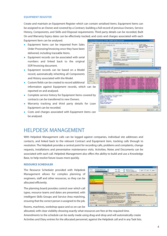#### **EQUIPMENT REGISTER**

Create and maintain an Equipment Register which can contain serialised items. Equipment Items can be assigned to an Owner and covered by a Contract, building a full record of previous Owners, Service History, Components, and Skills and Disposal requirements. Third party details can be recorded, Built On and Warranty Expiry dates can be effectively tracked, and costs and charges associated with each Equipment Item can be analysed.

iflD Ti

Stock C<br>Serial N<br>Location<br>Issue 1<br>Forbids Contract<br>Bulk On<br>Warrant SCP Do

- Equipment Items can be imported from Sales Order Processing/Invoicing once they have been delivered, including traceable Items.
- $\bullet$  Equipment records can be associated with serial numbers and linked back to the original SOP/Invoicing document.
- Equipment records can be based on a Model record, automatically inheriting all Components and History associated with the Model.
- $\boxed{\underline{\text{4} \text{rtio}}}$  $\bullet$  Custom fields can be created to record additional information against Equipment records, which can reported on and analysed.
- Complete service history for Equipment Items covered contracts can be transferred to new Owners.
- Warranty tracking and third party details for Lo Equipment can be recorded.
- Costs and charges associated with Equipment items be analysed.

| <b>WS4 APM</b>                                                                   |                                                             | Ford Galaxy Ghia 1.9 Tdl                                                                                                                                                                                                                                                                                                                     |                                                     |                                                                                                                                                                                                                                                                                |                            | ↳                                                                       | SLA Profile: SILVER<br>Contract: CONXESAAPH                                                                                                                                    |                                                                                                                                                                                                                                                                                                                                      |                  |
|----------------------------------------------------------------------------------|-------------------------------------------------------------|----------------------------------------------------------------------------------------------------------------------------------------------------------------------------------------------------------------------------------------------------------------------------------------------------------------------------------------------|-----------------------------------------------------|--------------------------------------------------------------------------------------------------------------------------------------------------------------------------------------------------------------------------------------------------------------------------------|----------------------------|-------------------------------------------------------------------------|--------------------------------------------------------------------------------------------------------------------------------------------------------------------------------|--------------------------------------------------------------------------------------------------------------------------------------------------------------------------------------------------------------------------------------------------------------------------------------------------------------------------------------|------------------|
| GAL1001                                                                          |                                                             |                                                                                                                                                                                                                                                                                                                                              |                                                     |                                                                                                                                                                                                                                                                                |                            |                                                                         | Service Area                                                                                                                                                                   | Vehicle Contract Hire JES4 APH - Galaxy 11<br>1 A08                                                                                                                                                                                                                                                                                  |                  |
|                                                                                  |                                                             |                                                                                                                                                                                                                                                                                                                                              | Cost :                                              | Mantenance (Per Contract Period):<br>100.00                                                                                                                                                                                                                                    | Resources Required :       |                                                                         | 5.00<br>MTBF (Hours):                                                                                                                                                          |                                                                                                                                                                                                                                                                                                                                      |                  |
|                                                                                  | Mark Roberts : Abington Him Lind ed                         |                                                                                                                                                                                                                                                                                                                                              | Charge:                                             | 235.00                                                                                                                                                                                                                                                                         | Man Hours 1<br>Staff Reg : |                                                                         | 1.00<br>MTIR (Hours):                                                                                                                                                          |                                                                                                                                                                                                                                                                                                                                      |                  |
| Orion Way<br>Kettering<br>Northants<br>NNIS SPD<br>Enab<br><b>VHL1633</b><br>Ska | 00000005 - Abington Hire Linited<br>VIN F12334-5787-AA-GHFT | Tel: 01536 495002 Fax: 01536 495003<br>Stock.<br>J.                                                                                                                                                                                                                                                                                          | On Loan:<br>Expired<br>Nicked<br>Service Schedule : | Loan Reason :<br>Expiry Reason<br>Manufacturer: Ford<br>2 Year M'g Warranty - Quarterly Lease Rental on Contract (3 Year term)<br>Inc all services. Service parts chargable<br>5,000 10,000 and 50,000 Mins<br>See Service Schedule Document for Details                       |                            |                                                                         |                                                                                                                                                                                | v<br>B<br>ø                                                                                                                                                                                                                                                                                                                          |                  |
| <b>CONXY</b><br>28/02/2                                                          |                                                             | <b><i>C. Equipment Register Mail Merge</i></b><br>Contact Criteria   Company Criteria   Search Results   Equipment Criteria<br>Found 20 equipment entries matching the criteria.                                                                                                                                                             |                                                     |                                                                                                                                                                                                                                                                                |                            |                                                                         |                                                                                                                                                                                |                                                                                                                                                                                                                                                                                                                                      | $ \Box$ $\times$ |
| 10/02/2                                                                          |                                                             |                                                                                                                                                                                                                                                                                                                                              |                                                     |                                                                                                                                                                                                                                                                                |                            |                                                                         |                                                                                                                                                                                |                                                                                                                                                                                                                                                                                                                                      |                  |
| DOCDDA                                                                           | Selected                                                    | Company                                                                                                                                                                                                                                                                                                                                      |                                                     | Contact                                                                                                                                                                                                                                                                        | Equipment                  | Stock Code                                                              | Serial No.                                                                                                                                                                     | Description                                                                                                                                                                                                                                                                                                                          |                  |
| LO1<br>be                                                                        | Ρ<br>P<br>P<br>Leee<br>Þ<br>F                               | Adams Light Engineering Ltd.<br>Anderson Car Factors Ltd<br>Anderson Car Factors Ltd.<br>Anderson Car Factors Ltd.<br><b>Barto Williams Limited</b><br>DGR Enterprises Ltd.<br>Elte Vehicle Products<br>Crion Vehicles Leasing<br><b>Crion Vehicles Limited</b><br>Orion Vehicles Limited<br>Onon Vehicles Limited<br>Crion Vehicles Limited |                                                     | Gordon Sm DES2 W12<br>James Carp UNI1026<br>James Carp UNI1027<br>James Carp UNITIES<br>William Will 1853 888<br>3chn Chap GR06 LMN<br>Harold Roland TRA1029<br>David John  COM1003<br>Mark Johnson COM1001<br>Adam Stuart LA07 PPA<br>Adam Stoa LADS LPA<br>Adam Stea TRA1030 |                            | <b>ECRD001</b><br><b>ECROOS</b><br><b>ECR0001</b><br>VHL3429<br>VHL1633 | VIN 1000678-<br>ULD1000601<br>33.01000669<br><b>ULD1000541</b><br>VDE6788-FHH<br>VIN 55667-AFF<br>5N PROOS40<br>SN/100056756<br>5N100056997<br><b>WASHINGTON</b><br>SN PR00770 | Vachal Vectra 1.8: (Cu.<br>Unden LDR6157 Radar  01<br>Uniden LDR6157 Radar  01<br>Uniden LDR6157 Radar  01<br>Vauhal Corsa 500 1.6<br>Ford Galaxy Ghia 1.9 Tdi<br>Portway Traker - 2 Tonne<br>REP Model 411 Air Corn 01<br>REP Model 411 Air Corn<br>Nasan Mora Courtesy Car<br>Nissan Micra Coutesy Car<br>Portway Traler - 2 Tonne |                  |
| l by<br>pan                                                                      | K.<br>Location : Site                                       | Contact: Adam Steadman - Orion Vehicles Leasing<br>Description : Portway Traler - 2 Tonne<br>Manufacturer : Portway<br>Bult Orc.: 25/10/2007<br>Warranty Expiry: 25/10/2008<br>Notes : Orion Soare Trailer.<br>Available to Loan clients                                                                                                     |                                                     |                                                                                                                                                                                                                                                                                |                            |                                                                         |                                                                                                                                                                                |                                                                                                                                                                                                                                                                                                                                      |                  |

### HELPDESK MANAGEMENT

With Helpdesk Management calls can be logged against companies, individual site addresses and contacts, and linked back to the relevant Contract and Equipment item, tracking calls through to resolution. The Helpdesk provides a central point for recording calls, problems and complaints, change requests, installations and preventative maintenance visits. Activities, Notes and Documents can be associated with each call. Helpdesk Management also offers the ability to build and use a Knowledge Base, to help resolve future issues more quickly.

#### **RESOURCE SCHEDULER**

The Resource Scheduler provided with Helpdesk Management allows for complex planning of engineers, staff and other resources, so they can be allocated efficiently.

The planning board provides control over which call types, resource teams and dates are presented, with intelligent Skills Groups and Service Area matching, ensuring that the correct person is assigned to the job.

Rooms, machines, workshop space and so on can be

allocated, with clear visibility showing exactly what resources are free at the required time. Amendments to the schedule can be easily made using drag-and-drop and will automatically create Activities and Diary entries for the allocated personnel, against the Helpdesk call and in any Task lists.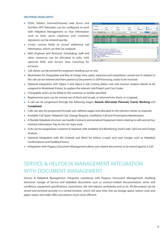#### **HELPDESK HIGHLIGHTS**

- PDAs, Tablets, Internet/Intranet web forms and TomTom GPS Telematics can be configured to work with Helpdesk Management so that information such as time, parts, expenses and customer signatures can be entered quickly.
- Create custom fields to record additional call information, which can then be analysed.
- With Engineer and Resource Scheduling, staff and other resources can be allocated to jobs, with optional Skills and Service Area matching for accuracy.



- Call sheets can be printed for engineers heading out on site.
- Worksheets for chargeable and free of charge time, parts, expenses and requisitions carried out in relation to the call can be entered and then posted as Documents to SOP/Invoicing, ready to be invoiced.
- Optional integration with Opera 3 and Opera II Job Costing allows cost and revenue analysis details to be assigned to Worksheet Entries, to update the relevant Job/Project and Cost Codes.
- Chargeable work can be billed to the customer or reseller specified.
- Replacement parts can be moved out of Stock and issued, or returned into Stock, or scrapped.
- A call can be progressed through the following stages: Raised, Allocated, Planned, Travel, Working and **Completed**.
- Calls can also be progressed through user-defined stages and allocated to the relevant Owner as required.
- Available Call Types: Helpdesk Call, Change Request, Installation Call and Preventative Maintenance.
- A flexible Helpdesk structure can handle Contracts and serialised Equipment items relating to calls and ad-hoc minimal information 'Pay As You Go' type work.
- SLAs can be assigned per customer if required, with available SLA Monitoring, Fault Code, Call Cost and Charge Analysis.
- Optional integration with MS Outlook and Word for letters, e-mails and mail merges such as Helpdesk Confirmations and Feedback forms.
- Integration with Pegasus Document Management allows any related documents to be stored against a Call.

## SERVICE & HELPDESK MANAGEMENT INTEGRATION WITH DOCUMENT MANAGEMENT

Service & Helpdesk Management integrates seamlessly with Pegasus Document Management, enabling electronic storage of Service and Helpdesk documents such as contract-related documentation, terms and conditions, equipment specifications, instructions, site visit reports, worksheets and so on. All documents can be stored and archived securely in a central location, which will save time, free up storage space, reduce costs and paper waste, and make office procedures much more efficient.